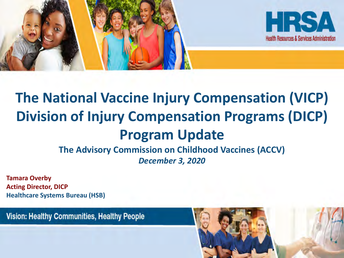

# **The National Vaccine Injury Compensation (VICP) Division of Injury Compensation Programs (DICP) Program Update**

**The Advisory Commission on Childhood Vaccines (ACCV)**  *December 3, 2020*

**Tamara Overby Acting Director, DICP Healthcare Systems Bureau (HSB)**

**Vision: Healthy Communities, Healthy People** 

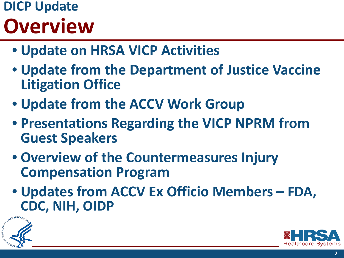# **DICP Update Overview**

- **Update on HRSA VICP Activities**
- **Update from the Department of Justice Vaccine Litigation Office**
- **Update from the ACCV Work Group**
- **Presentations Regarding the VICP NPRM from Guest Speakers**
- **Overview of the Countermeasures Injury Compensation Program**
- **Updates from ACCV Ex Officio Members – FDA, CDC, NIH, OIDP**



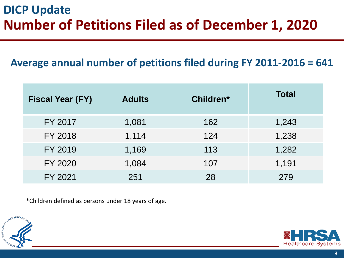#### **DICP Update Number of Petitions Filed as of December 1, 2020**

#### **Average annual number of petitions filed during FY 2011-2016 = 641**

| <b>Fiscal Year (FY)</b> | <b>Adults</b> | Children* | <b>Total</b> |
|-------------------------|---------------|-----------|--------------|
| FY 2017                 | 1,081         | 162       | 1,243        |
| FY 2018                 | 1,114         | 124       | 1,238        |
| FY 2019                 | 1,169         | 113       | 1,282        |
| FY 2020                 | 1,084         | 107       | 1,191        |
| FY 2021                 | 251           | 28        | 279          |

\*Children defined as persons under 18 years of age.



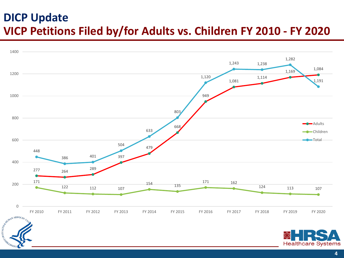#### **DICP Update VICP Petitions Filed by/for Adults vs. Children FY 2010 - FY 2020**

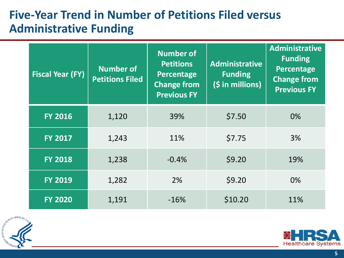#### **Five-Year Trend in Number of Petitions Filed versus Administrative Funding**

| <b>Fiscal Year (FY)</b> | <b>Number of</b><br><b>Petitions Filed</b> | <b>Number of</b><br><b>Petitions</b><br>Percentage<br><b>Change from</b><br><b>Previous FY</b> | <b>Administrative</b><br><b>Funding</b><br>(\$ in millions) | <b>Administrative</b><br><b>Funding</b><br>Percentage<br><b>Change from</b><br><b>Previous FY</b> |
|-------------------------|--------------------------------------------|------------------------------------------------------------------------------------------------|-------------------------------------------------------------|---------------------------------------------------------------------------------------------------|
| <b>FY 2016</b>          | 1,120                                      | 39%                                                                                            | \$7.50                                                      | 0%                                                                                                |
| <b>FY 2017</b>          | 1,243                                      | 11%                                                                                            | \$7.75                                                      | 3%                                                                                                |
| <b>FY 2018</b>          | 1,238                                      | $-0.4%$                                                                                        | \$9.20                                                      | 19%                                                                                               |
| <b>FY 2019</b>          | 1,282                                      | 2%                                                                                             | \$9.20                                                      | $0\%$                                                                                             |
| <b>FY 2020</b>          | 1,191                                      | $-16%$                                                                                         | \$10.20                                                     | 11%                                                                                               |



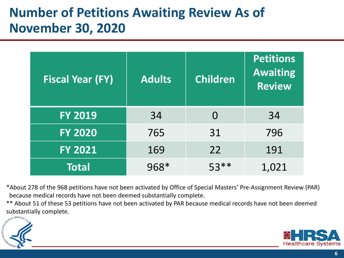### **Number of Petitions Awaiting Review As of November 30, 2020**

| <b>Fiscal Year (FY)</b> | <b>Adults</b> | <b>Children</b> | Petitions<br><b>Awaiting</b><br><b>Review</b> |
|-------------------------|---------------|-----------------|-----------------------------------------------|
| <b>FY 2019</b>          | 34            | $\Omega$        | 34                                            |
| <b>FY 2020</b>          | 765           | 31              | 796                                           |
| <b>FY 2021</b>          | 169           | 22              | 191                                           |
| <b>Total</b>            | 968*          | $53**$          | 1,021                                         |

\*About 278 of the 968 petitions have not been activated by Office of Special Masters' Pre-Assignment Review (PAR) because medical records have not been deemed substantially complete.

\*\* About 51 of these 53 petitions have not been activated by PAR because medical records have not been deemed substantially complete.



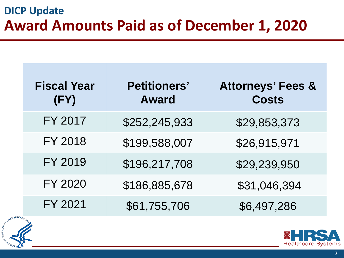#### **DICP Update Award Amounts Paid as of December 1, 2020**

| <b>Fiscal Year</b><br>(FY) | <b>Petitioners'</b><br><b>Award</b> | <b>Attorneys' Fees &amp;</b><br><b>Costs</b> |
|----------------------------|-------------------------------------|----------------------------------------------|
| FY 2017                    | \$252,245,933                       | \$29,853,373                                 |
| <b>FY 2018</b>             | \$199,588,007                       | \$26,915,971                                 |
| FY 2019                    | \$196,217,708                       | \$29,239,950                                 |
| <b>FY 2020</b>             | \$186,885,678                       | \$31,046,394                                 |
| FY 2021                    | \$61,755,706                        | \$6,497,286                                  |



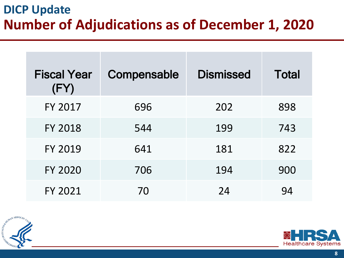### **DICP Update Number of Adjudications as of December 1, 2020**

| <b>Fiscal Year</b><br>(FY) | Compensable | <b>Dismissed</b> | <b>Total</b> |
|----------------------------|-------------|------------------|--------------|
| <b>FY 2017</b>             | 696         | 202              | 898          |
| <b>FY 2018</b>             | 544         | 199              | 743          |
| <b>FY 2019</b>             | 641         | 181              | 822          |
| <b>FY 2020</b>             | 706         | 194              | 900          |
| FY 2021                    | 70          | 24               | 94           |



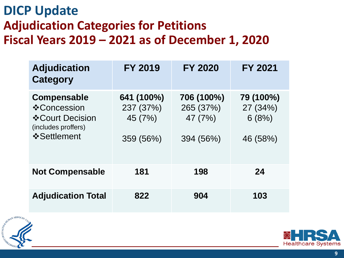#### **DICP Update Adjudication Categories for Petitions Fiscal Years 2019 – 2021 as of December 1, 2020**

| <b>Adjudication</b><br><b>Category</b>                                                        | <b>FY 2019</b>                                  | <b>FY 2020</b>                                  | <b>FY 2021</b>                             |
|-----------------------------------------------------------------------------------------------|-------------------------------------------------|-------------------------------------------------|--------------------------------------------|
| <b>Compensable</b><br>❖ Concession<br>❖ Court Decision<br>(includes proffers)<br>❖ Settlement | 641 (100%)<br>237 (37%)<br>45 (7%)<br>359 (56%) | 706 (100%)<br>265 (37%)<br>47 (7%)<br>394 (56%) | 79 (100%)<br>27 (34%)<br>6(8%)<br>46 (58%) |
| <b>Not Compensable</b>                                                                        | 181                                             | 198                                             | 24                                         |
| <b>Adjudication Total</b>                                                                     | 822                                             | 904                                             | 103                                        |



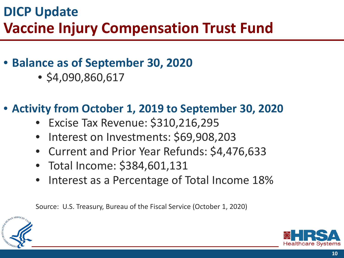### **DICP Update Vaccine Injury Compensation Trust Fund**

#### • **Balance as of September 30, 2020**

• \$4,090,860,617

#### • **Activity from October 1, 2019 to September 30, 2020**

- Excise Tax Revenue: \$310,216,295
- Interest on Investments: \$69,908,203
- Current and Prior Year Refunds: \$4,476,633
- Total Income: \$384,601,131
- Interest as a Percentage of Total Income 18%

Source: U.S. Treasury, Bureau of the Fiscal Service (October 1, 2020)



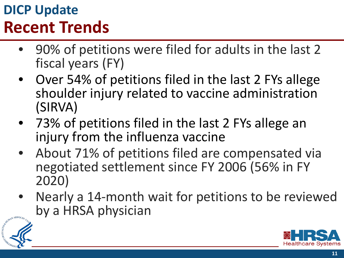# **DICP Update Recent Trends**

- 90% of petitions were filed for adults in the last 2 fiscal years (FY)
- Over 54% of petitions filed in the last 2 FYs allege shoulder injury related to vaccine administration (SIRVA)
- 73% of petitions filed in the last 2 FYs allege an injury from the influenza vaccine
- About 71% of petitions filed are compensated via negotiated settlement since FY 2006 (56% in FY 2020)
- Nearly a 14-month wait for petitions to be reviewed by a HRSA physician



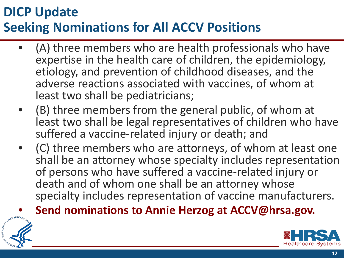### **DICP Update Seeking Nominations for All ACCV Positions**

- (A) three members who are health professionals who have expertise in the health care of children, the epidemiology, etiology, and prevention of childhood diseases, and the adverse reactions associated with vaccines, of whom at least two shall be pediatricians;
- (B) three members from the general public, of whom at least two shall be legal representatives of children who have suffered a vaccine-related injury or death; and
- (C) three members who are attorneys, of whom at least one shall be an attorney whose specialty includes representation of persons who have suffered a vaccine-related injury or death and of whom one shall be an attorney whose specialty includes representation of vaccine manufacturers.
- **Send nominations to Annie Herzog at ACCV@hrsa.gov.**



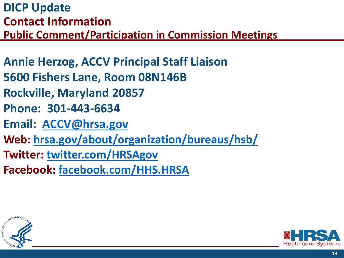**DICP Update Contact Information Public Comment/Participation in Commission Meetings**

**Annie Herzog, ACCV Principal Staff Liaison 5600 Fishers Lane, Room 08N146B Rockville, Maryland 20857 Phone: 301-443-6634 Email: [ACCV@hrsa.gov](mailto:ACCV@hrsa.gov) Web: [hrsa.gov/about/organization/bureaus/hsb/](https://www.hrsa.gov/about/organization/bureaus/hsb/index.html)  Twitter: twitter.com/HRSAgov Facebook: facebook.com/HHS.HRSA**